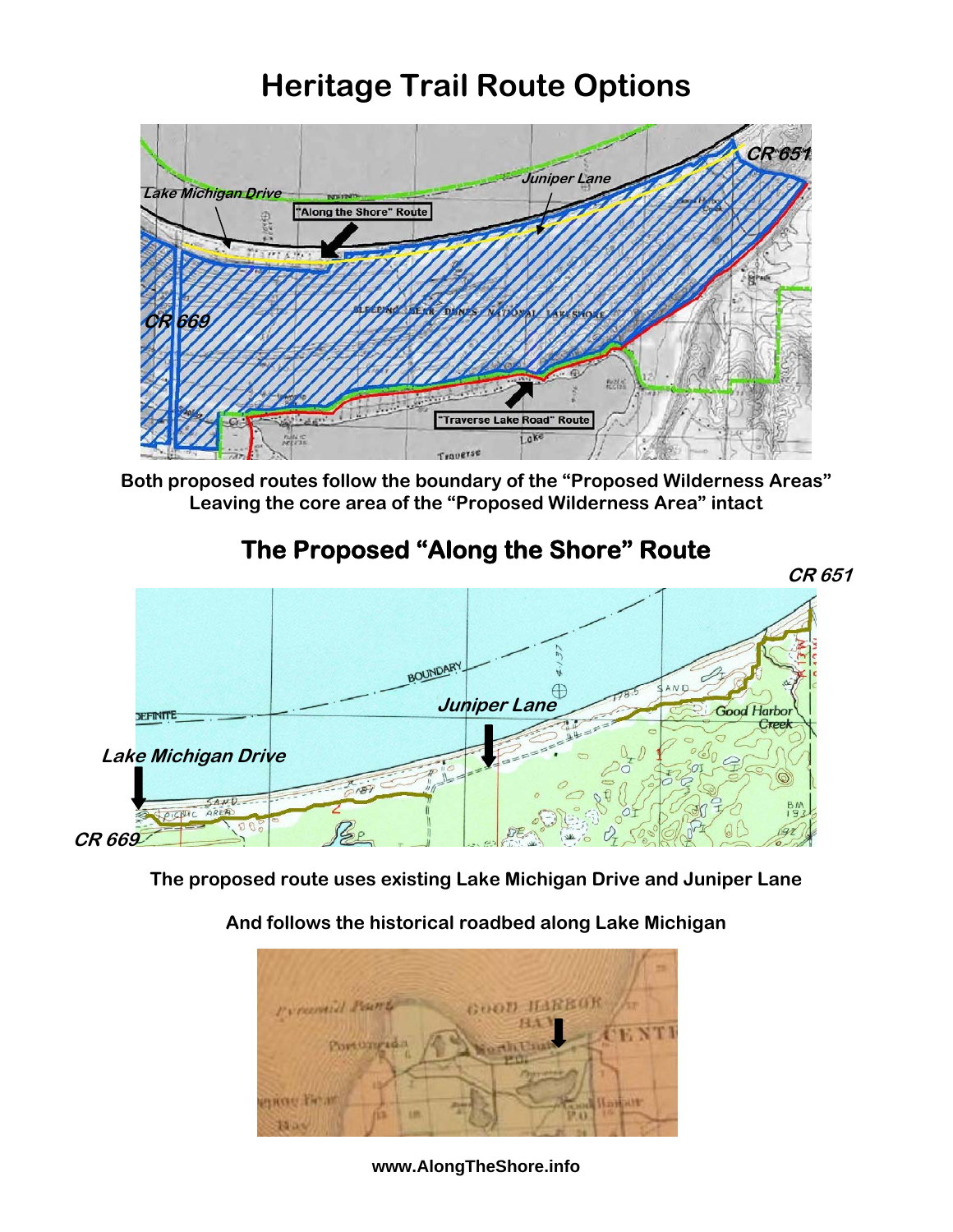## **Heritage Trail Route Options**



**Both proposed routes follow the boundary of the "Proposed Wilderness Areas" Leaving the core area of the "Proposed Wilderness Area" intact** 

## **The Proposed "Along the Shore" Route**



**The proposed route uses existing Lake Michigan Drive and Juniper Lane** 

## **And follows the historical roadbed along Lake Michigan**



**www.AlongTheShore.info**